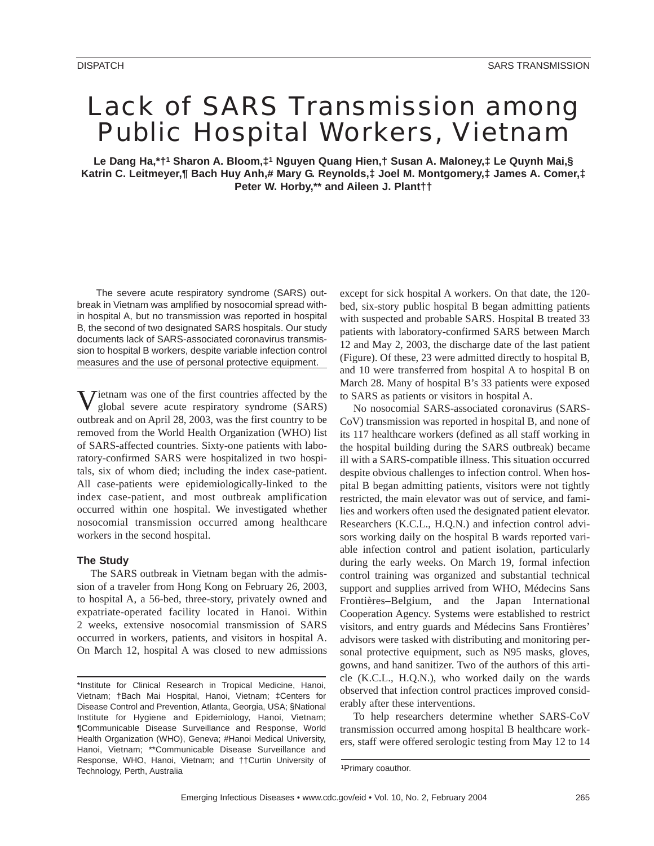# Lack of SARS Transmission among Public Hospital Workers, Vietnam

**Le Dang Ha,\*†1 Sharon A. Bloom,‡1 Nguyen Quang Hien,† Susan A. Maloney,‡ Le Quynh Mai,§ Katrin C. Leitmeyer,¶ Bach Huy Anh,# Mary G. Reynolds,‡ Joel M. Montgomery,‡ James A. Comer,‡ Peter W. Horby,\*\* and Aileen J. Plant††**

The severe acute respiratory syndrome (SARS) outbreak in Vietnam was amplified by nosocomial spread within hospital A, but no transmission was reported in hospital B, the second of two designated SARS hospitals. Our study documents lack of SARS-associated coronavirus transmission to hospital B workers, despite variable infection control measures and the use of personal protective equipment.

Vietnam was one of the first countries affected by the global severe acute respiratory syndrome (SARS) outbreak and on April 28, 2003, was the first country to be removed from the World Health Organization (WHO) list of SARS-affected countries. Sixty-one patients with laboratory-confirmed SARS were hospitalized in two hospitals, six of whom died; including the index case-patient. All case-patients were epidemiologically-linked to the index case-patient, and most outbreak amplification occurred within one hospital. We investigated whether nosocomial transmission occurred among healthcare workers in the second hospital.

## **The Study**

The SARS outbreak in Vietnam began with the admission of a traveler from Hong Kong on February 26, 2003, to hospital A, a 56-bed, three-story, privately owned and expatriate-operated facility located in Hanoi. Within 2 weeks, extensive nosocomial transmission of SARS occurred in workers, patients, and visitors in hospital A. On March 12, hospital A was closed to new admissions

except for sick hospital A workers. On that date, the 120 bed, six-story public hospital B began admitting patients with suspected and probable SARS. Hospital B treated 33 patients with laboratory-confirmed SARS between March 12 and May 2, 2003, the discharge date of the last patient (Figure). Of these, 23 were admitted directly to hospital B, and 10 were transferred from hospital A to hospital B on March 28. Many of hospital B's 33 patients were exposed to SARS as patients or visitors in hospital A.

No nosocomial SARS-associated coronavirus (SARS-CoV) transmission was reported in hospital B, and none of its 117 healthcare workers (defined as all staff working in the hospital building during the SARS outbreak) became ill with a SARS-compatible illness. This situation occurred despite obvious challenges to infection control. When hospital B began admitting patients, visitors were not tightly restricted, the main elevator was out of service, and families and workers often used the designated patient elevator. Researchers (K.C.L., H.Q.N.) and infection control advisors working daily on the hospital B wards reported variable infection control and patient isolation, particularly during the early weeks. On March 19, formal infection control training was organized and substantial technical support and supplies arrived from WHO, Médecins Sans Frontières–Belgium, and the Japan International Cooperation Agency. Systems were established to restrict visitors, and entry guards and Médecins Sans Frontières' advisors were tasked with distributing and monitoring personal protective equipment, such as N95 masks, gloves, gowns, and hand sanitizer. Two of the authors of this article (K.C.L., H.Q.N.), who worked daily on the wards observed that infection control practices improved considerably after these interventions.

To help researchers determine whether SARS-CoV transmission occurred among hospital B healthcare workers, staff were offered serologic testing from May 12 to 14

<sup>\*</sup>Institute for Clinical Research in Tropical Medicine, Hanoi, Vietnam; †Bach Mai Hospital, Hanoi, Vietnam; ‡Centers for Disease Control and Prevention, Atlanta, Georgia, USA; §National Institute for Hygiene and Epidemiology, Hanoi, Vietnam; ¶Communicable Disease Surveillance and Response, World Health Organization (WHO), Geneva; #Hanoi Medical University, Hanoi, Vietnam; \*\*Communicable Disease Surveillance and Response, WHO, Hanoi, Vietnam; and ††Curtin University of Technology, Perth, Australia 1980 and 1Primary coauthor.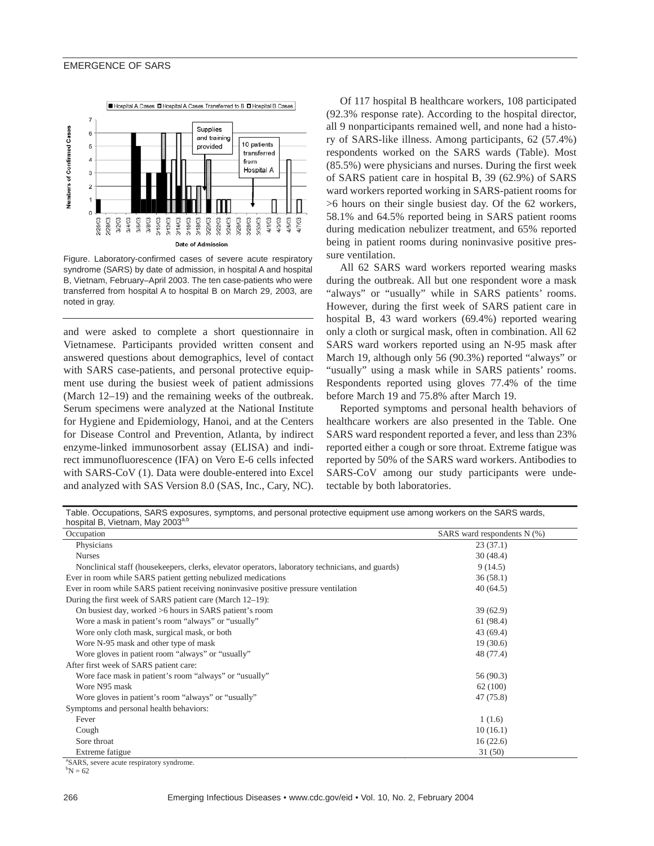#### EMERGENCE OF SARS



Figure. Laboratory-confirmed cases of severe acute respiratory syndrome (SARS) by date of admission, in hospital A and hospital B, Vietnam, February–April 2003. The ten case-patients who were transferred from hospital A to hospital B on March 29, 2003, are noted in gray.

and were asked to complete a short questionnaire in Vietnamese. Participants provided written consent and answered questions about demographics, level of contact with SARS case-patients, and personal protective equipment use during the busiest week of patient admissions (March 12–19) and the remaining weeks of the outbreak. Serum specimens were analyzed at the National Institute for Hygiene and Epidemiology, Hanoi, and at the Centers for Disease Control and Prevention, Atlanta, by indirect enzyme-linked immunosorbent assay (ELISA) and indirect immunofluorescence (IFA) on Vero E-6 cells infected with SARS-CoV (1). Data were double-entered into Excel and analyzed with SAS Version 8.0 (SAS, Inc., Cary, NC).

Of 117 hospital B healthcare workers, 108 participated (92.3% response rate). According to the hospital director, all 9 nonparticipants remained well, and none had a history of SARS-like illness. Among participants, 62 (57.4%) respondents worked on the SARS wards (Table). Most (85.5%) were physicians and nurses. During the first week of SARS patient care in hospital B, 39 (62.9%) of SARS ward workers reported working in SARS-patient rooms for >6 hours on their single busiest day. Of the 62 workers, 58.1% and 64.5% reported being in SARS patient rooms during medication nebulizer treatment, and 65% reported being in patient rooms during noninvasive positive pressure ventilation.

All 62 SARS ward workers reported wearing masks during the outbreak. All but one respondent wore a mask "always" or "usually" while in SARS patients' rooms. However, during the first week of SARS patient care in hospital B, 43 ward workers (69.4%) reported wearing only a cloth or surgical mask, often in combination. All 62 SARS ward workers reported using an N-95 mask after March 19, although only 56 (90.3%) reported "always" or "usually" using a mask while in SARS patients' rooms. Respondents reported using gloves 77.4% of the time before March 19 and 75.8% after March 19.

Reported symptoms and personal health behaviors of healthcare workers are also presented in the Table. One SARS ward respondent reported a fever, and less than 23% reported either a cough or sore throat. Extreme fatigue was reported by 50% of the SARS ward workers. Antibodies to SARS-CoV among our study participants were undetectable by both laboratories.

Table. Occupations, SARS exposures, symptoms, and personal protective equipment use among workers on the SARS wards, hospital B, Vietnam, May 2003<sup>a,b</sup>

| Occupation                                                                                       | SARS ward respondents N (%) |
|--------------------------------------------------------------------------------------------------|-----------------------------|
| Physicians                                                                                       | 23(37.1)                    |
| <b>Nurses</b>                                                                                    | 30(48.4)                    |
| Nonclinical staff (housekeepers, clerks, elevator operators, laboratory technicians, and guards) | 9(14.5)                     |
| Ever in room while SARS patient getting nebulized medications                                    | 36(58.1)                    |
| Ever in room while SARS patient receiving noninvasive positive pressure ventilation              | 40(64.5)                    |
| During the first week of SARS patient care (March 12–19):                                        |                             |
| On busiest day, worked >6 hours in SARS patient's room                                           | 39(62.9)                    |
| Wore a mask in patient's room "always" or "usually"                                              | 61 (98.4)                   |
| Wore only cloth mask, surgical mask, or both                                                     | 43(69.4)                    |
| Wore N-95 mask and other type of mask                                                            | 19(30.6)                    |
| Wore gloves in patient room "always" or "usually"                                                | 48 (77.4)                   |
| After first week of SARS patient care:                                                           |                             |
| Wore face mask in patient's room "always" or "usually"                                           | 56 (90.3)                   |
| Wore N95 mask                                                                                    | 62 (100)                    |
| Wore gloves in patient's room "always" or "usually"                                              | 47 (75.8)                   |
| Symptoms and personal health behaviors:                                                          |                             |
| Fever                                                                                            | 1(1.6)                      |
| Cough                                                                                            | 10(16.1)                    |
| Sore throat                                                                                      | 16(22.6)                    |
| Extreme fatigue                                                                                  | 31(50)                      |

a SARS, severe acute respiratory syndrome.

 ${}^{b}N = 62$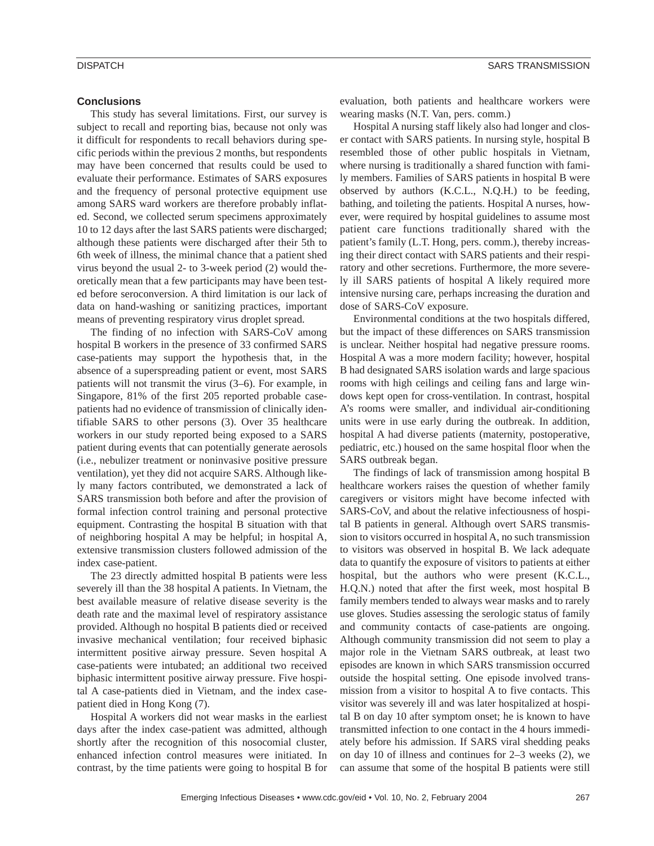#### **Conclusions**

This study has several limitations. First, our survey is subject to recall and reporting bias, because not only was it difficult for respondents to recall behaviors during specific periods within the previous 2 months, but respondents may have been concerned that results could be used to evaluate their performance. Estimates of SARS exposures and the frequency of personal protective equipment use among SARS ward workers are therefore probably inflated. Second, we collected serum specimens approximately 10 to 12 days after the last SARS patients were discharged; although these patients were discharged after their 5th to 6th week of illness, the minimal chance that a patient shed virus beyond the usual 2- to 3-week period (2) would theoretically mean that a few participants may have been tested before seroconversion. A third limitation is our lack of data on hand-washing or sanitizing practices, important means of preventing respiratory virus droplet spread.

The finding of no infection with SARS-CoV among hospital B workers in the presence of 33 confirmed SARS case-patients may support the hypothesis that, in the absence of a superspreading patient or event, most SARS patients will not transmit the virus (3–6). For example, in Singapore, 81% of the first 205 reported probable casepatients had no evidence of transmission of clinically identifiable SARS to other persons (3). Over 35 healthcare workers in our study reported being exposed to a SARS patient during events that can potentially generate aerosols (i.e., nebulizer treatment or noninvasive positive pressure ventilation), yet they did not acquire SARS. Although likely many factors contributed, we demonstrated a lack of SARS transmission both before and after the provision of formal infection control training and personal protective equipment. Contrasting the hospital B situation with that of neighboring hospital A may be helpful; in hospital A, extensive transmission clusters followed admission of the index case-patient.

The 23 directly admitted hospital B patients were less severely ill than the 38 hospital A patients. In Vietnam, the best available measure of relative disease severity is the death rate and the maximal level of respiratory assistance provided. Although no hospital B patients died or received invasive mechanical ventilation; four received biphasic intermittent positive airway pressure. Seven hospital A case-patients were intubated; an additional two received biphasic intermittent positive airway pressure. Five hospital A case-patients died in Vietnam, and the index casepatient died in Hong Kong (7).

Hospital A workers did not wear masks in the earliest days after the index case-patient was admitted, although shortly after the recognition of this nosocomial cluster, enhanced infection control measures were initiated. In contrast, by the time patients were going to hospital B for

evaluation, both patients and healthcare workers were wearing masks (N.T. Van, pers. comm.)

Hospital A nursing staff likely also had longer and closer contact with SARS patients. In nursing style, hospital B resembled those of other public hospitals in Vietnam, where nursing is traditionally a shared function with family members. Families of SARS patients in hospital B were observed by authors (K.C.L., N.Q.H.) to be feeding, bathing, and toileting the patients. Hospital A nurses, however, were required by hospital guidelines to assume most patient care functions traditionally shared with the patient's family (L.T. Hong, pers. comm.), thereby increasing their direct contact with SARS patients and their respiratory and other secretions. Furthermore, the more severely ill SARS patients of hospital A likely required more intensive nursing care, perhaps increasing the duration and dose of SARS-CoV exposure.

Environmental conditions at the two hospitals differed, but the impact of these differences on SARS transmission is unclear. Neither hospital had negative pressure rooms. Hospital A was a more modern facility; however, hospital B had designated SARS isolation wards and large spacious rooms with high ceilings and ceiling fans and large windows kept open for cross-ventilation. In contrast, hospital A's rooms were smaller, and individual air-conditioning units were in use early during the outbreak. In addition, hospital A had diverse patients (maternity, postoperative, pediatric, etc.) housed on the same hospital floor when the SARS outbreak began.

The findings of lack of transmission among hospital B healthcare workers raises the question of whether family caregivers or visitors might have become infected with SARS-CoV, and about the relative infectiousness of hospital B patients in general. Although overt SARS transmission to visitors occurred in hospital A, no such transmission to visitors was observed in hospital B. We lack adequate data to quantify the exposure of visitors to patients at either hospital, but the authors who were present (K.C.L., H.Q.N.) noted that after the first week, most hospital B family members tended to always wear masks and to rarely use gloves. Studies assessing the serologic status of family and community contacts of case-patients are ongoing. Although community transmission did not seem to play a major role in the Vietnam SARS outbreak, at least two episodes are known in which SARS transmission occurred outside the hospital setting. One episode involved transmission from a visitor to hospital A to five contacts. This visitor was severely ill and was later hospitalized at hospital B on day 10 after symptom onset; he is known to have transmitted infection to one contact in the 4 hours immediately before his admission. If SARS viral shedding peaks on day 10 of illness and continues for 2–3 weeks (2), we can assume that some of the hospital B patients were still